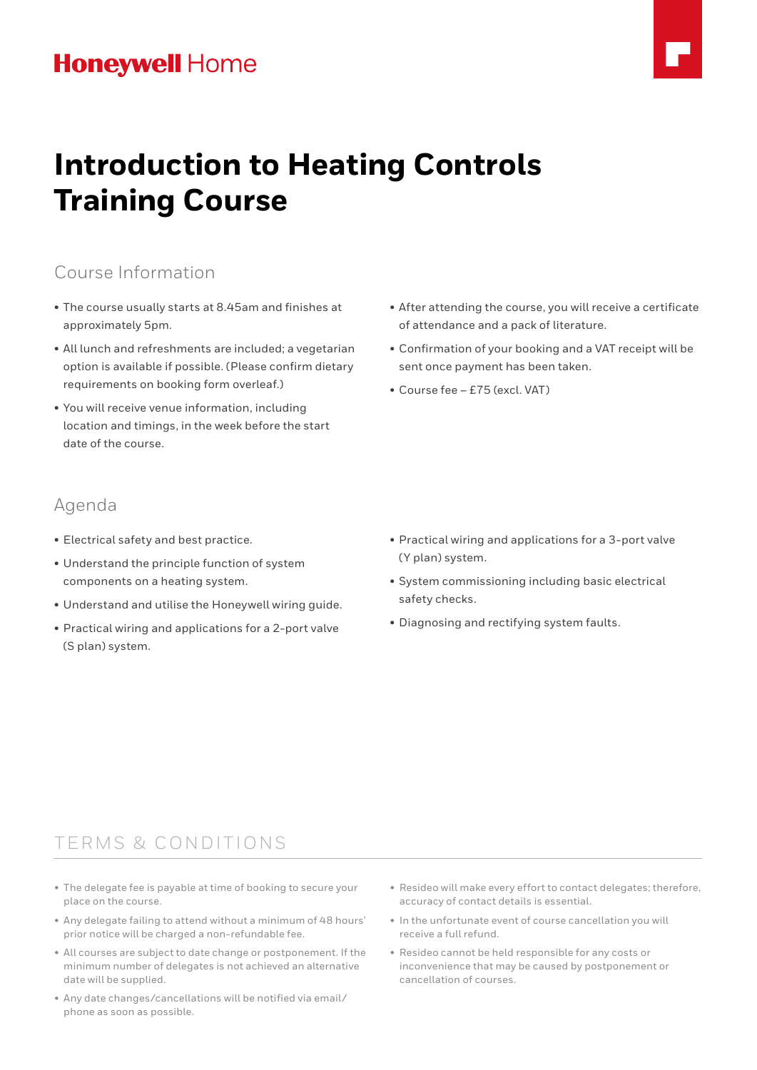# **Honeywell Home**



# **Introduction to Heating Controls Training Course**

### Course Information

- The course usually starts at 8.45am and finishes at approximately 5pm.
- All lunch and refreshments are included; a vegetarian option is available if possible. (Please confirm dietary requirements on booking form overleaf.)
- You will receive venue information, including location and timings, in the week before the start date of the course.

### Agenda

- Electrical safety and best practice.
- Understand the principle function of system components on a heating system.
- Understand and utilise the Honeywell wiring guide.
- Practical wiring and applications for a 2-port valve (S plan) system.
- After attending the course, you will receive a certificate of attendance and a pack of literature.
- Confirmation of your booking and a VAT receipt will be sent once payment has been taken.
- Course fee £75 (excl. VAT)

- Practical wiring and applications for a 3-port valve (Y plan) system.
- System commissioning including basic electrical safety checks.
- Diagnosing and rectifying system faults.

### TERMS & CONDITIONS

- The delegate fee is payable at time of booking to secure your place on the course.
- Any delegate failing to attend without a minimum of 48 hours' prior notice will be charged a non-refundable fee.
- All courses are subject to date change or postponement. If the minimum number of delegates is not achieved an alternative date will be supplied.
- Any date changes/cancellations will be notified via email/ phone as soon as possible.
- Resideo will make every effort to contact delegates; therefore, accuracy of contact details is essential.
- In the unfortunate event of course cancellation you will receive a full refund.
- Resideo cannot be held responsible for any costs or inconvenience that may be caused by postponement or cancellation of courses.